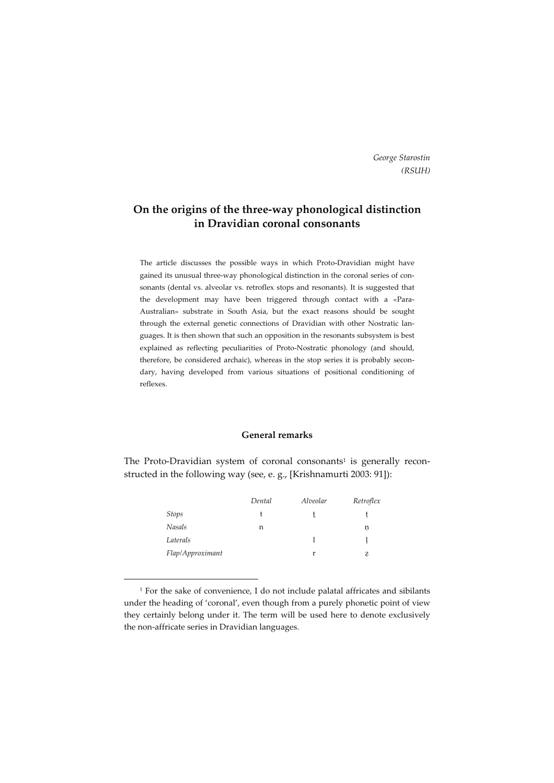George Starostin (RSUH)

# On the origins of the three-way phonological distinction in Dravidian coronal consonants

The article discusses the possible ways in which Proto-Dravidian might have gained its unusual three-way phonological distinction in the coronal series of consonants (dental vs. alveolar vs. retroflex stops and resonants). It is suggested that the development may have been triggered through contact with a «Para-Australian» substrate in South Asia, but the exact reasons should be sought through the external genetic connections of Dravidian with other Nostratic languages. It is then shown that such an opposition in the resonants subsystem is best explained as reflecting peculiarities of Proto-Nostratic phonology (and should, therefore, be considered archaic), whereas in the stop series it is probably secondary, having developed from various situations of positional conditioning of reflexes.

## General remarks

The Proto-Dravidian system of coronal consonants<sup>1</sup> is generally reconstructed in the following way (see, e. g., [Krishnamurti 2003: 91]):

|                  | Dental | Alveolar | Retroflex |
|------------------|--------|----------|-----------|
| <b>Stops</b>     | ŧ      |          |           |
| Nasals           | n      |          | ņ         |
| Laterals         |        |          |           |
| Flap/Approximant |        | r        | Z.        |

<sup>&</sup>lt;sup>1</sup> For the sake of convenience, I do not include palatal affricates and sibilants under the heading of 'coronal', even though from a purely phonetic point of view they certainly belong under it. The term will be used here to denote exclusively the non-affricate series in Dravidian languages.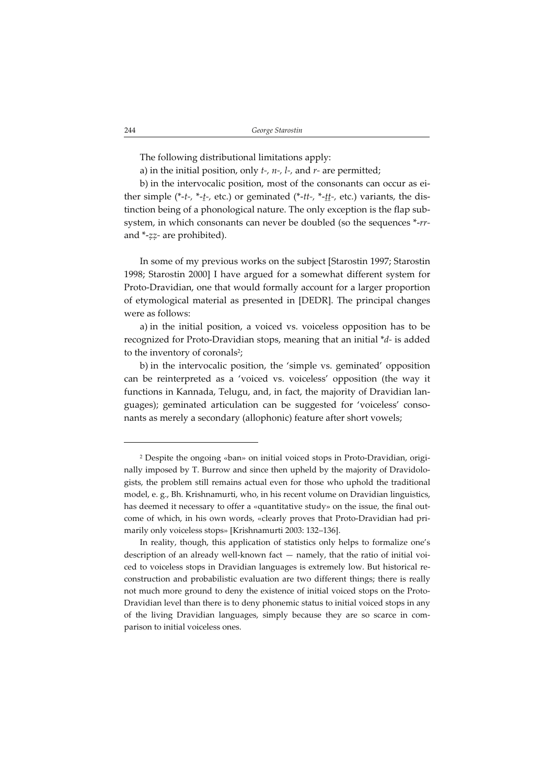The following distributional limitations apply:

a) in the initial position, only  $t-$ ,  $n-$ ,  $l-$ , and  $r-$  are permitted;

b) in the intervocalic position, most of the consonants can occur as either simple (\*-t-, \*-t-, etc.) or geminated (\*-tt-, \*-tt-, etc.) variants, the distinction being of a phonological nature. The only exception is the flap subsystem, in which consonants can never be doubled (so the sequences  $*$ - $rr$ and \*ẓẓ- are prohibited).

In some of my previous works on the subject [Starostin 1997; Starostin 1998; Starostin 2000] I have argued for a somewhat different system for Proto-Dravidian, one that would formally account for a larger proportion of etymological material as presented in [DEDR]. The principal changes were as follows:

a) in the initial position, a voiced vs. voiceless opposition has to be recognized for Proto-Dravidian stops, meaning that an initial \*d- is added to the inventory of coronals<sup>2</sup>;

b) in the intervocalic position, the 'simple vs. geminated' opposition can be reinterpreted as a 'voiced vs. voiceless' opposition (the way it functions in Kannada, Telugu, and, in fact, the majority of Dravidian languages); geminated articulation can be suggested for 'voiceless' consonants as merely a secondary (allophonic) feature after short vowels;

<sup>2</sup> Despite the ongoing «ban» on initial voiced stops in Proto-Dravidian, originally imposed by T. Burrow and since then upheld by the majority of Dravidologists, the problem still remains actual even for those who uphold the traditional model, e. g., Bh. Krishnamurti, who, in his recent volume on Dravidian linguistics, has deemed it necessary to offer a «quantitative study» on the issue, the final outcome of which, in his own words, «clearly proves that Proto-Dravidian had primarily only voiceless stops» [Krishnamurti 2003: 132–136].

In reality, though, this application of statistics only helps to formalize one's description of an already well-known fact — namely, that the ratio of initial voiced to voiceless stops in Dravidian languages is extremely low. But historical reconstruction and probabilistic evaluation are two different things; there is really not much more ground to deny the existence of initial voiced stops on the Proto-Dravidian level than there is to deny phonemic status to initial voiced stops in any of the living Dravidian languages, simply because they are so scarce in comparison to initial voiceless ones.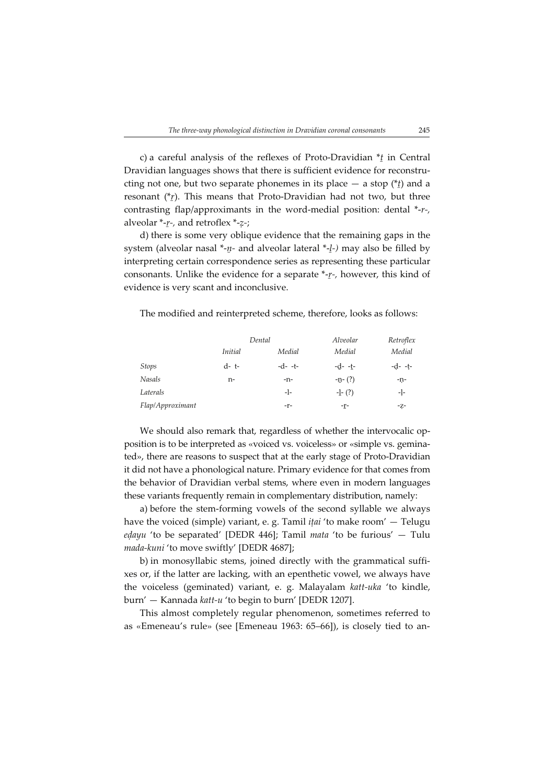c) a careful analysis of the reflexes of Proto-Dravidian  $*_t$  in Central Dravidian languages shows that there is sufficient evidence for reconstructing not one, but two separate phonemes in its place  $-$  a stop  $(*_1)$  and a resonant  $(*_1)$ . This means that Proto-Dravidian had not two, but three contrasting flap/approximants in the word-medial position: dental  $*$ - $r$ -, alveolar  $*$ - $r$ -, and retroflex  $*$ - $z$ -;

d) there is some very oblique evidence that the remaining gaps in the system (alveolar nasal  $*_{-1}$ - and alveolar lateral  $*_{-1}$ -) may also be filled by interpreting certain correspondence series as representing these particular consonants. Unlike the evidence for a separate \*-*r*-, however, this kind of evidence is very scant and inconclusive.

The modified and reinterpreted scheme, therefore, looks as follows:

|                  | Dental  |           | Alveolar  | Retroflex |
|------------------|---------|-----------|-----------|-----------|
|                  | Initial | Medial    | Medial    | Medial    |
| <b>Stops</b>     | d- t-   | $-d-$ -t- | $-d-$ -t- | $-d- -t-$ |
| Nasals           | n-      | -n-       | $-n-(?)$  | -n-       |
| Laterals         |         | -1-       | $-1-(?)$  | -ļ-       |
| Flap/Approximant |         | $-r-$     | -r-       | -Z-       |

We should also remark that, regardless of whether the intervocalic opposition is to be interpreted as «voiced vs. voiceless» or «simple vs. geminated», there are reasons to suspect that at the early stage of Proto-Dravidian it did not have a phonological nature. Primary evidence for that comes from the behavior of Dravidian verbal stems, where even in modern languages these variants frequently remain in complementary distribution, namely:

a) before the stem-forming vowels of the second syllable we always have the voiced (simple) variant, e. g. Tamil *ițai* 'to make room' — Telugu edayu 'to be separated' [DEDR 446]; Tamil mata 'to be furious'  $-$  Tulu mada-kuni 'to move swiftly' [DEDR 4687];

b) in monosyllabic stems, joined directly with the grammatical suffixes or, if the latter are lacking, with an epenthetic vowel, we always have the voiceless (geminated) variant, e. g. Malayalam katt-uka 'to kindle, burn' — Kannada katt-u 'to begin to burn' [DEDR 1207].

This almost completely regular phenomenon, sometimes referred to as «Emeneau's rule» (see [Emeneau 1963: 65–66]), is closely tied to an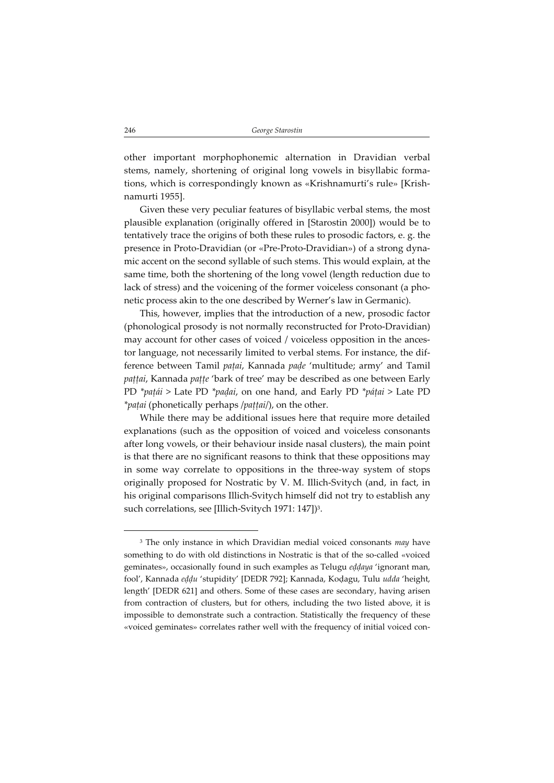other important morphophonemic alternation in Dravidian verbal stems, namely, shortening of original long vowels in bisyllabic formations, which is correspondingly known as «Krishnamurti's rule» [Krishnamurti 1955].

Given these very peculiar features of bisyllabic verbal stems, the most plausible explanation (originally offered in [Starostin 2000]) would be to tentatively trace the origins of both these rules to prosodic factors, e. g. the presence in Proto-Dravidian (or «Pre-Proto-Dravidian») of a strong dynamic accent on the second syllable of such stems. This would explain, at the same time, both the shortening of the long vowel (length reduction due to lack of stress) and the voicening of the former voiceless consonant (a phonetic process akin to the one described by Werner's law in Germanic).

This, however, implies that the introduction of a new, prosodic factor (phonological prosody is not normally reconstructed for Proto-Dravidian) may account for other cases of voiced / voiceless opposition in the ancestor language, not necessarily limited to verbal stems. For instance, the difference between Tamil paṭai, Kannada paḍe 'multitude; army' and Tamil paṭṭai, Kannada paṭṭe 'bark of tree' may be described as one between Early PD \*paṭái > Late PD \*paḍai, on one hand, and Early PD \*páṭai > Late PD \**paṭai* (phonetically perhaps /*paṭṭai*/), on the other.

While there may be additional issues here that require more detailed explanations (such as the opposition of voiced and voiceless consonants after long vowels, or their behaviour inside nasal clusters), the main point is that there are no significant reasons to think that these oppositions may in some way correlate to oppositions in the three-way system of stops originally proposed for Nostratic by V. M. Illich-Svitych (and, in fact, in his original comparisons Illich-Svitych himself did not try to establish any such correlations, see [Illich-Svitych 1971: 147])<sup>3</sup>.

<sup>&</sup>lt;sup>3</sup> The only instance in which Dravidian medial voiced consonants may have something to do with old distinctions in Nostratic is that of the so-called «voiced geminates», occasionally found in such examples as Telugu eḍḍaya 'ignorant man, fool', Kannada eḍḍu 'stupidity' [DEDR 792]; Kannada, Koḍagu, Tulu udda 'height, length' [DEDR 621] and others. Some of these cases are secondary, having arisen from contraction of clusters, but for others, including the two listed above, it is impossible to demonstrate such a contraction. Statistically the frequency of these «voiced geminates» correlates rather well with the frequency of initial voiced con-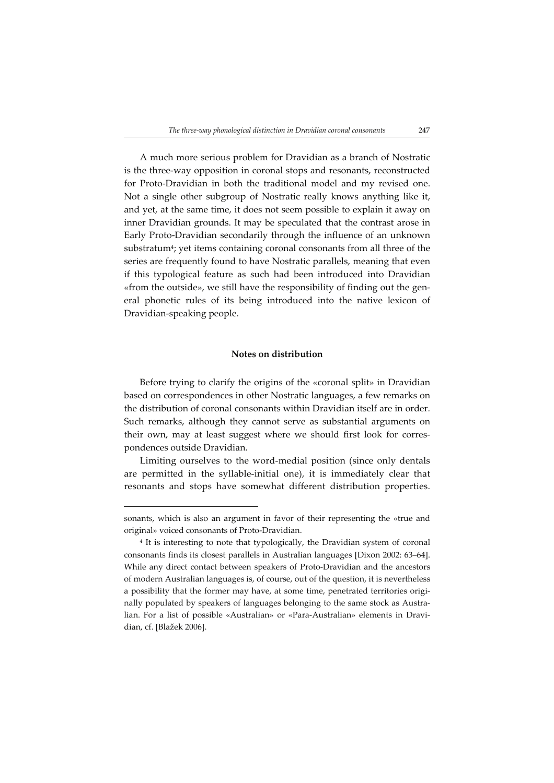A much more serious problem for Dravidian as a branch of Nostratic is the three-way opposition in coronal stops and resonants, reconstructed for Proto-Dravidian in both the traditional model and my revised one. Not a single other subgroup of Nostratic really knows anything like it, and yet, at the same time, it does not seem possible to explain it away on inner Dravidian grounds. It may be speculated that the contrast arose in Early Proto-Dravidian secondarily through the influence of an unknown substratum<sup>4</sup>; yet items containing coronal consonants from all three of the series are frequently found to have Nostratic parallels, meaning that even if this typological feature as such had been introduced into Dravidian «from the outside», we still have the responsibility of finding out the general phonetic rules of its being introduced into the native lexicon of Dravidian-speaking people.

#### Notes on distribution

Before trying to clarify the origins of the «coronal split» in Dravidian based on correspondences in other Nostratic languages, a few remarks on the distribution of coronal consonants within Dravidian itself are in order. Such remarks, although they cannot serve as substantial arguments on their own, may at least suggest where we should first look for correspondences outside Dravidian.

Limiting ourselves to the word-medial position (since only dentals are permitted in the syllable-initial one), it is immediately clear that resonants and stops have somewhat different distribution properties.

sonants, which is also an argument in favor of their representing the «true and original» voiced consonants of Proto-Dravidian.

<sup>&</sup>lt;sup>4</sup> It is interesting to note that typologically, the Dravidian system of coronal consonants finds its closest parallels in Australian languages [Dixon 2002: 63–64]. While any direct contact between speakers of Proto-Dravidian and the ancestors of modern Australian languages is, of course, out of the question, it is nevertheless a possibility that the former may have, at some time, penetrated territories originally populated by speakers of languages belonging to the same stock as Australian. For a list of possible «Australian» or «Para-Australian» elements in Dravidian, cf. [Blažek 2006].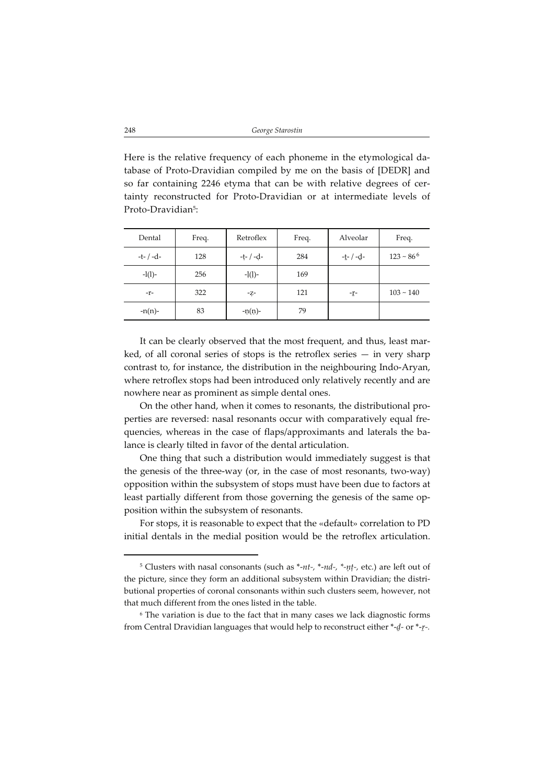| George Starostin |
|------------------|
|                  |

Here is the relative frequency of each phoneme in the etymological database of Proto-Dravidian compiled by me on the basis of [DEDR] and so far containing 2246 etyma that can be with relative degrees of certainty reconstructed for Proto-Dravidian or at intermediate levels of Proto-Dravidian<sup>5</sup>:

| Dental    | Freq. | Retroflex | Freq. | Alveolar  | Freq.          |
|-----------|-------|-----------|-------|-----------|----------------|
| $-t-/-d-$ | 128   | -ṭ- / -ḍ- | 284   | -t- / -d- | $123 - 86^{6}$ |
| $-l(1)-$  | 256   | $-1(1)-$  | 169   |           |                |
| $-r-$     | 322   | $-Z-$     | 121   | -r-       | $103 - 140$    |
| $-n(n)$ - | 83    | -n(n)-    | 79    |           |                |

It can be clearly observed that the most frequent, and thus, least marked, of all coronal series of stops is the retroflex series  $-$  in very sharp contrast to, for instance, the distribution in the neighbouring Indo-Aryan, where retroflex stops had been introduced only relatively recently and are nowhere near as prominent as simple dental ones.

On the other hand, when it comes to resonants, the distributional properties are reversed: nasal resonants occur with comparatively equal frequencies, whereas in the case of flaps/approximants and laterals the balance is clearly tilted in favor of the dental articulation.

One thing that such a distribution would immediately suggest is that the genesis of the three-way (or, in the case of most resonants, two-way) opposition within the subsystem of stops must have been due to factors at least partially different from those governing the genesis of the same opposition within the subsystem of resonants.

For stops, it is reasonable to expect that the «default» correlation to PD initial dentals in the medial position would be the retroflex articulation.

<sup>&</sup>lt;sup>5</sup> Clusters with nasal consonants (such as  $*-nt-$ ,  $*-nd-$ ,  $*-nt-$ , etc.) are left out of the picture, since they form an additional subsystem within Dravidian; the distributional properties of coronal consonants within such clusters seem, however, not that much different from the ones listed in the table.

<sup>&</sup>lt;sup>6</sup> The variation is due to the fact that in many cases we lack diagnostic forms from Central Dravidian languages that would help to reconstruct either \*- $d$ - or \*- $r$ -.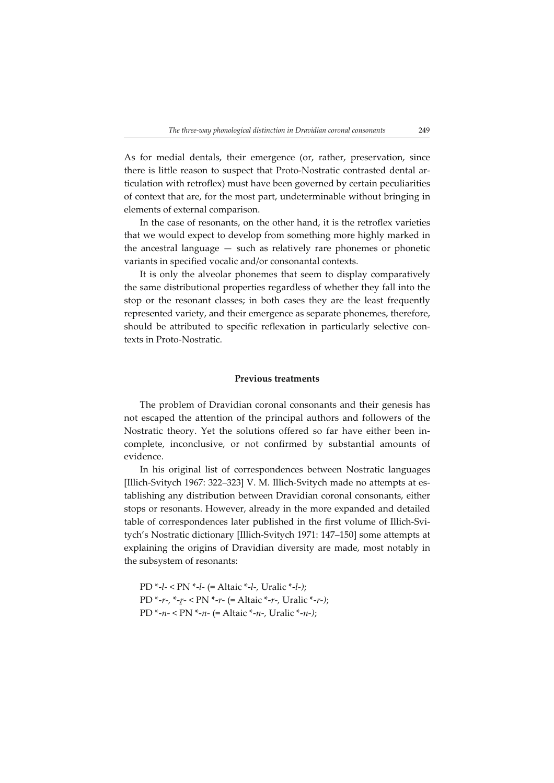As for medial dentals, their emergence (or, rather, preservation, since there is little reason to suspect that Proto-Nostratic contrasted dental articulation with retroflex) must have been governed by certain peculiarities of context that are, for the most part, undeterminable without bringing in elements of external comparison.

In the case of resonants, on the other hand, it is the retroflex varieties that we would expect to develop from something more highly marked in the ancestral language — such as relatively rare phonemes or phonetic variants in specified vocalic and/or consonantal contexts.

It is only the alveolar phonemes that seem to display comparatively the same distributional properties regardless of whether they fall into the stop or the resonant classes; in both cases they are the least frequently represented variety, and their emergence as separate phonemes, therefore, should be attributed to specific reflexation in particularly selective contexts in Proto-Nostratic.

## Previous treatments

The problem of Dravidian coronal consonants and their genesis has not escaped the attention of the principal authors and followers of the Nostratic theory. Yet the solutions offered so far have either been incomplete, inconclusive, or not confirmed by substantial amounts of evidence.

In his original list of correspondences between Nostratic languages [Illich-Svitych 1967: 322–323] V. M. Illich-Svitych made no attempts at establishing any distribution between Dravidian coronal consonants, either stops or resonants. However, already in the more expanded and detailed table of correspondences later published in the first volume of Illich-Svitych's Nostratic dictionary [Illich-Svitych 1971: 147–150] some attempts at explaining the origins of Dravidian diversity are made, most notably in the subsystem of resonants:

PD  $*$ -l- < PN $*$ -l- (= Altaic  $*$ -l-, Uralic  $*$ -l-); PD \*-r-, \*-r- < PN \*-r- (= Altaic \*-r-, Uralic \*-r-); PD  $*_{-n-}$  < PN  $*_{-n-}$  (= Altaic  $*_{-n-}$ , Uralic  $*_{-n-}$ );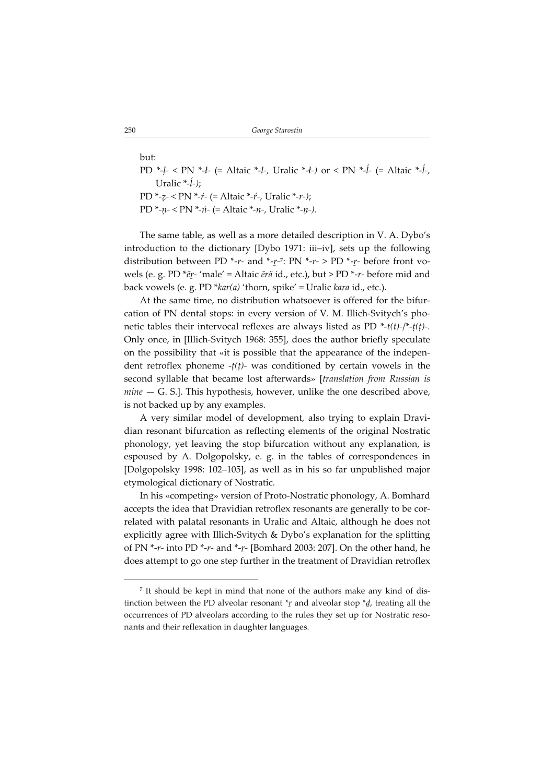PD \*-l- < PN \*-l- (= Altaic \*-l-, Uralic \*-l-) or < PN \*-l- (= Altaic \*-l-, Uralic  $\frac{*}{'}$ - $(i)$ :

PD \*-z- < PN \*- $\acute{r}$ - (= Altaic \*- $\acute{r}$ -, Uralic \*- $r$ -);

PD  $*_{-n-}$  < PN  $*_{-n-}$  (= Altaic  $*_{-n-}$ , Uralic  $*_{-n-}$ ).

The same table, as well as a more detailed description in V. A. Dybo's introduction to the dictionary [Dybo 1971: iii–iv], sets up the following distribution between PD \*-r- and \*-r-7: PN \*-r- > PD \*-r- before front vowels (e. g. PD  $* \bar{e}r$ - 'male' = Altaic  $\bar{e}r\bar{a}$  id., etc.), but > PD  $*$ - $r$ - before mid and back vowels (e. g. PD \*kar(a) 'thorn, spike' = Uralic kara id., etc.).

At the same time, no distribution whatsoever is offered for the bifurcation of PN dental stops: in every version of V. M. Illich-Svitych's phonetic tables their intervocal reflexes are always listed as PD  $*-t(t)$ -/ $*-t(t)$ -. Only once, in [Illich-Svitych 1968: 355], does the author briefly speculate on the possibility that «it is possible that the appearance of the independent retroflex phoneme  $-t(t)$ - was conditioned by certain vowels in the second syllable that became lost afterwards» [translation from Russian is  $mine - G. S.$ ]. This hypothesis, however, unlike the one described above, is not backed up by any examples.

A very similar model of development, also trying to explain Dravidian resonant bifurcation as reflecting elements of the original Nostratic phonology, yet leaving the stop bifurcation without any explanation, is espoused by A. Dolgopolsky, e. g. in the tables of correspondences in [Dolgopolsky 1998: 102–105], as well as in his so far unpublished major etymological dictionary of Nostratic.

In his «competing» version of Proto-Nostratic phonology, A. Bomhard accepts the idea that Dravidian retroflex resonants are generally to be correlated with palatal resonants in Uralic and Altaic, although he does not explicitly agree with Illich-Svitych & Dybo's explanation for the splitting of PN  $*$ - $r$ - into PD $*$ - $r$ - and  $*$ - $r$ - [Bomhard 2003: 207]. On the other hand, he does attempt to go one step further in the treatment of Dravidian retroflex

but:

<sup>7</sup> It should be kept in mind that none of the authors make any kind of distinction between the PD alveolar resonant  $*_T$  and alveolar stop  $*_d$ , treating all the occurrences of PD alveolars according to the rules they set up for Nostratic resonants and their reflexation in daughter languages.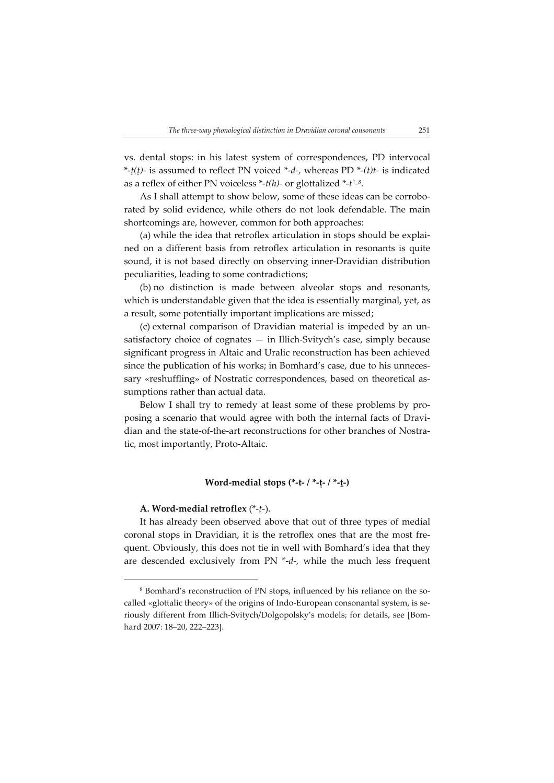vs. dental stops: in his latest system of correspondences, PD intervocal \*- $t(t)$ - is assumed to reflect PN voiced \*-d-, whereas PD \*- $(t)t$ - is indicated as a reflex of either PN voiceless  $*-t(h)$ - or glottalized  $*-t^2$ .

As I shall attempt to show below, some of these ideas can be corroborated by solid evidence, while others do not look defendable. The main shortcomings are, however, common for both approaches:

(a) while the idea that retroflex articulation in stops should be explained on a different basis from retroflex articulation in resonants is quite sound, it is not based directly on observing inner-Dravidian distribution peculiarities, leading to some contradictions;

(b) no distinction is made between alveolar stops and resonants, which is understandable given that the idea is essentially marginal, yet, as a result, some potentially important implications are missed;

(c) external comparison of Dravidian material is impeded by an unsatisfactory choice of cognates — in Illich-Svitych's case, simply because significant progress in Altaic and Uralic reconstruction has been achieved since the publication of his works; in Bomhard's case, due to his unnecessary «reshuffling» of Nostratic correspondences, based on theoretical assumptions rather than actual data.

Below I shall try to remedy at least some of these problems by proposing a scenario that would agree with both the internal facts of Dravidian and the state-of-the-art reconstructions for other branches of Nostratic, most importantly, Proto-Altaic.

## Word-medial stops (\*-t- / \*-t- / \*-t-)

### A. Word-medial retroflex  $(*-*t*-).$

It has already been observed above that out of three types of medial coronal stops in Dravidian, it is the retroflex ones that are the most frequent. Obviously, this does not tie in well with Bomhard's idea that they are descended exclusively from  $PN$  \*-d-, while the much less frequent

<sup>8</sup> Bomhard's reconstruction of PN stops, influenced by his reliance on the socalled «glottalic theory» of the origins of Indo-European consonantal system, is seriously different from Illich-Svitych/Dolgopolsky's models; for details, see [Bomhard 2007: 18–20, 222–223].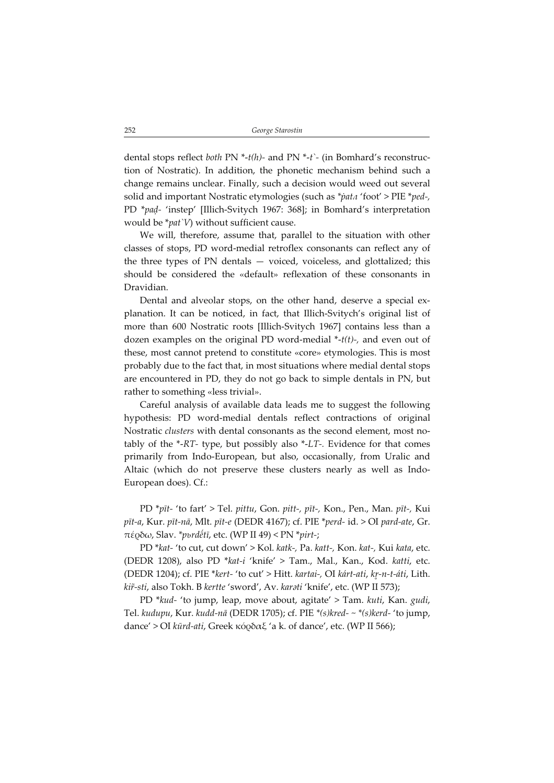dental stops reflect both PN  $*$ -t(h)- and PN  $*$ -t`- (in Bomhard's reconstruction of Nostratic). In addition, the phonetic mechanism behind such a change remains unclear. Finally, such a decision would weed out several solid and important Nostratic etymologies (such as  $*pata 'foot' > PIE * ped-,$ PD \*paḍ- 'instep' [Illich-Svitych 1967: 368]; in Bomhard's interpretation would be \*pat`V) without sufficient cause.

We will, therefore, assume that, parallel to the situation with other classes of stops, PD word-medial retroflex consonants can reflect any of the three types of PN dentals — voiced, voiceless, and glottalized; this should be considered the «default» reflexation of these consonants in Dravidian.

Dental and alveolar stops, on the other hand, deserve a special explanation. It can be noticed, in fact, that Illich-Svitych's original list of more than 600 Nostratic roots [Illich-Svitych 1967] contains less than a dozen examples on the original PD word-medial  $*-t(t)$ -, and even out of these, most cannot pretend to constitute «core» etymologies. This is most probably due to the fact that, in most situations where medial dental stops are encountered in PD, they do not go back to simple dentals in PN, but rather to something «less trivial».

Careful analysis of available data leads me to suggest the following hypothesis: PD word-medial dentals reflect contractions of original Nostratic clusters with dental consonants as the second element, most notably of the  $*$ - $RT$ - type, but possibly also  $*$ - $LT$ -. Evidence for that comes primarily from Indo-European, but also, occasionally, from Uralic and Altaic (which do not preserve these clusters nearly as well as Indo-European does). Cf.:

PD \*pīt- 'to fart' > Tel. pittu, Gon. pitt-, pīt-, Kon., Pen., Man. pīt-, Kui pīt-a, Kur. pīt-nā, Mlt. pīt-e (DEDR 4167); cf. PIE \*perd- id. > OI pard-ate, Gr. πέρδω, Slav. \*pьrdḗtī, etc. (WP II 49) < PN \*pirt-;

PD \*kat- 'to cut, cut down' > Kol. katk-, Pa. katt-, Kon. kat-, Kui kata, etc. (DEDR 1208), also PD \*kat-i 'knife' > Tam., Mal., Kan., Kod. katti, etc. (DEDR 1204); cf. PIE \*kert- 'to cut' > Hitt. kartai-, OI kárt-ati, kr-n-t-áti, Lith. kir-sti, also Tokh. B kertte 'sword', Av. karati 'knife', etc. (WP II 573);

PD \*kud- 'to jump, leap, move about, agitate' > Tam. kuti, Kan. gudi, Tel. kudupu, Kur. kudd-nā (DEDR 1705); cf. PIE \*(s)kred- ~ \*(s)kerd- 'to jump, dance' > OI kūrd-ati, Greek κόρδαξ 'a k. of dance', etc. (WP II 566);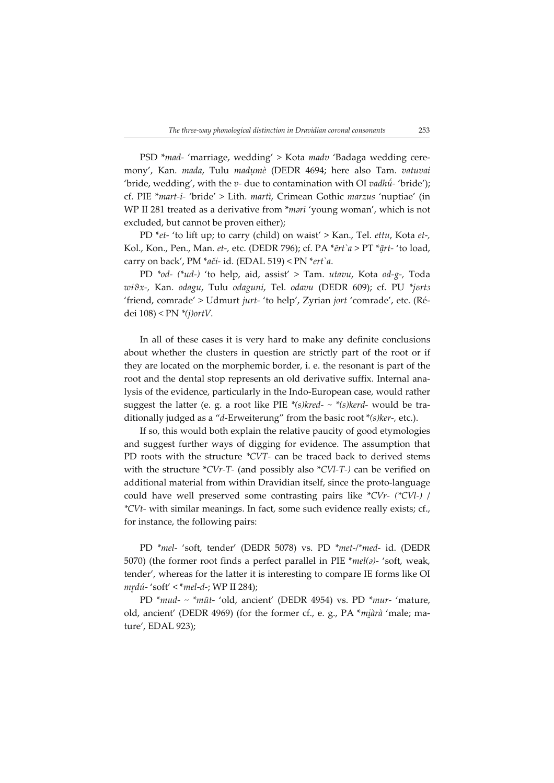PSD \*mad- 'marriage, wedding' > Kota madv 'Badaga wedding ceremony', Kan. mada, Tulu madụmè (DEDR 4694; here also Tam. vatuvai 'bride, wedding', with the  $v$ - due to contamination with OI  $v$ adh $\acute{u}$ -'bride'); cf. PIE \*mart-i- 'bride' > Lith. martì, Crimean Gothic marzus 'nuptiae' (in WP II 281 treated as a derivative from  $*$ *marī* 'young woman', which is not excluded, but cannot be proven either);

PD \*et- 'to lift up; to carry (child) on waist' > Kan., Tel. ettu, Kota et-, Kol., Kon., Pen., Man. et-, etc. (DEDR 796); cf. PA \*ērt`a > PT \*ārt- 'to load, carry on back', PM \*ači- id. (EDAL 519) < PN \*ert`a.

PD \*od- (\*ud-) 'to help, aid, assist' > Tam. utavu, Kota od-g-, Toda  $w_i\vartheta x$ -, Kan. odagu, Tulu odaguni, Tel. odavu (DEDR 609); cf. PU \*j $s$ rt3 'friend, comrade' > Udmurt jurt- 'to help', Zyrian jort 'comrade', etc. (Rédei  $108$ ) < PN  $*(i)$ ortV.

In all of these cases it is very hard to make any definite conclusions about whether the clusters in question are strictly part of the root or if they are located on the morphemic border, i. e. the resonant is part of the root and the dental stop represents an old derivative suffix. Internal analysis of the evidence, particularly in the Indo-European case, would rather suggest the latter (e. g. a root like PIE  $*(s)$ kred- ~  $*(s)$ kerd- would be traditionally judged as a "d-Erweiterung" from the basic root \*(s) ker-, etc.).

If so, this would both explain the relative paucity of good etymologies and suggest further ways of digging for evidence. The assumption that PD roots with the structure \*CVT- can be traced back to derived stems with the structure  $*CVr$ -T- (and possibly also  $*CVl$ -T-) can be verified on additional material from within Dravidian itself, since the proto-language could have well preserved some contrasting pairs like \*CVr- (\*CVl) / \*CVt- with similar meanings. In fact, some such evidence really exists; cf., for instance, the following pairs:

PD \*mel- 'soft, tender' (DEDR 5078) vs. PD \*met-/\*med- id. (DEDR 5070) (the former root finds a perfect parallel in PIE \*mel(a)- 'soft, weak, tender', whereas for the latter it is interesting to compare IE forms like OI mrdú- 'soft' < \*mel-d-; WP II 284);

PD \*mud- ~ \*mūt- 'old, ancient' (DEDR 4954) vs. PD \*mur- 'mature, old, ancient' (DEDR 4969) (for the former cf., e. g., PA \*miara 'male; mature', EDAL 923);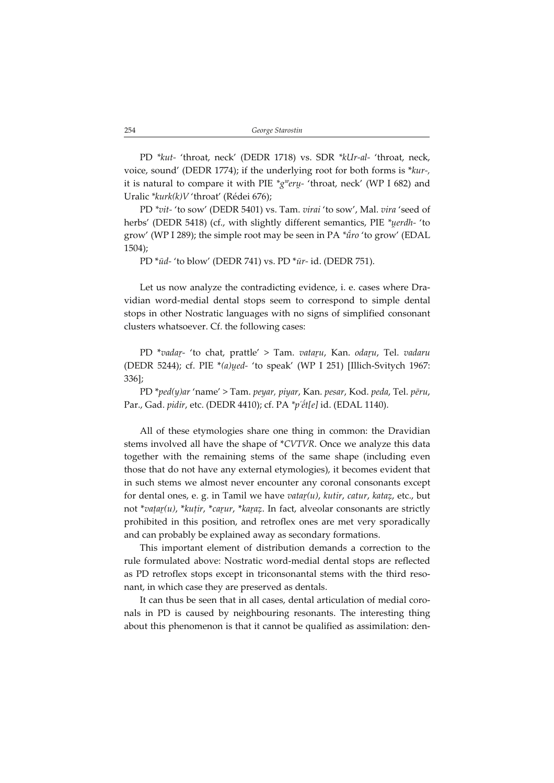PD \*kut- 'throat, neck' (DEDR 1718) vs. SDR \*kUr-al- 'throat, neck, voice, sound' (DEDR 1774); if the underlying root for both forms is \*kur-, it is natural to compare it with PIE  $^*g^w$ erų- 'throat, neck' (WP I 682) and Uralic \*kurk(k)V 'throat' (Rédei 676);

PD \*vit- 'to sow' (DEDR 5401) vs. Tam. virai 'to sow', Mal. vira 'seed of herbs' (DEDR 5418) (cf., with slightly different semantics, PIE \*uerdh- 'to grow' (WP I 289); the simple root may be seen in PA  $*u$ ro 'to grow' (EDAL 1504);

PD \*ūd- 'to blow' (DEDR 741) vs. PD \*ūr- id. (DEDR 751).

Let us now analyze the contradicting evidence, i. e. cases where Dravidian word-medial dental stops seem to correspond to simple dental stops in other Nostratic languages with no signs of simplified consonant clusters whatsoever. Cf. the following cases:

PD \*vadar- 'to chat, prattle' > Tam. vataru, Kan. odaru, Tel. vadaru (DEDR 5244); cf. PIE  $*(a)$ ued- 'to speak' (WP I 251) [Illich-Svitych 1967: 336];

PD \*ped(y)ar 'name' > Tam. peyar, piyar, Kan. pesar, Kod. peda, Tel. pēru, Par., Gad. pidir, etc. (DEDR 4410); cf. PA \*p'ɛ̃t[e] id. (EDAL 1140).

All of these etymologies share one thing in common: the Dravidian stems involved all have the shape of \*CVTVR. Once we analyze this data together with the remaining stems of the same shape (including even those that do not have any external etymologies), it becomes evident that in such stems we almost never encounter any coronal consonants except for dental ones, e. g. in Tamil we have  $\textit{vatar}(u)$ , kutir, catur, kataz, etc., but not \*vaṭar̯(u), \*kuṭir, \*car̯ur, \*kar̯aẓ. In fact, alveolar consonants are strictly prohibited in this position, and retroflex ones are met very sporadically and can probably be explained away as secondary formations.

This important element of distribution demands a correction to the rule formulated above: Nostratic word-medial dental stops are reflected as PD retroflex stops except in triconsonantal stems with the third resonant, in which case they are preserved as dentals.

It can thus be seen that in all cases, dental articulation of medial coronals in PD is caused by neighbouring resonants. The interesting thing about this phenomenon is that it cannot be qualified as assimilation: den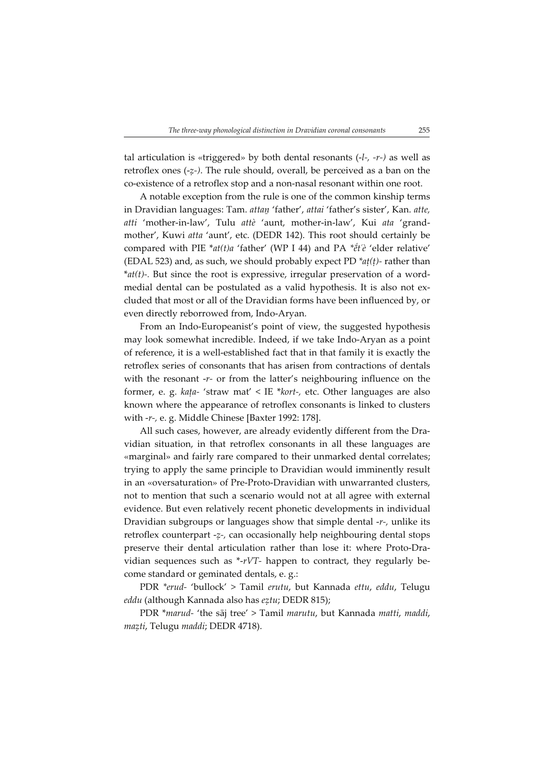tal articulation is «triggered» by both dental resonants  $(-l-, -r-)$  as well as retroflex ones (-z-). The rule should, overall, be perceived as a ban on the co-existence of a retroflex stop and a non-nasal resonant within one root.

A notable exception from the rule is one of the common kinship terms in Dravidian languages: Tam. attan 'father', attai 'father's sister', Kan. atte, atti 'mother-in-law', Tulu attè 'aunt, mother-in-law', Kui ata 'grandmother', Kuwi atta 'aunt', etc. (DEDR 142). This root should certainly be compared with PIE \*at(t)a 'father' (WP I 44) and PA \* $\acute{e}t\grave{e}$  'elder relative' (EDAL 523) and, as such, we should probably expect PD  $*at(t)$ - rather than  $*at(t)$ . But since the root is expressive, irregular preservation of a wordmedial dental can be postulated as a valid hypothesis. It is also not excluded that most or all of the Dravidian forms have been influenced by, or even directly reborrowed from, Indo-Aryan.

From an Indo-Europeanist's point of view, the suggested hypothesis may look somewhat incredible. Indeed, if we take Indo-Aryan as a point of reference, it is a well-established fact that in that family it is exactly the retroflex series of consonants that has arisen from contractions of dentals with the resonant  $-r$ - or from the latter's neighbouring influence on the former, e. g. kaṭa- 'straw mat' < IE \*kort-, etc. Other languages are also known where the appearance of retroflex consonants is linked to clusters with  $-r$ -, e. g. Middle Chinese [Baxter 1992: 178].

All such cases, however, are already evidently different from the Dravidian situation, in that retroflex consonants in all these languages are «marginal» and fairly rare compared to their unmarked dental correlates; trying to apply the same principle to Dravidian would imminently result in an «oversaturation» of Pre-Proto-Dravidian with unwarranted clusters, not to mention that such a scenario would not at all agree with external evidence. But even relatively recent phonetic developments in individual Dravidian subgroups or languages show that simple dental  $-r$ -, unlike its retroflex counterpart -z-, can occasionally help neighbouring dental stops preserve their dental articulation rather than lose it: where Proto-Dravidian sequences such as  $*$ - $rVT$ - happen to contract, they regularly become standard or geminated dentals, e. g.:

PDR \*erud- 'bullock' > Tamil erutu, but Kannada ettu, eddu, Telugu eddu (although Kannada also has eztu; DEDR 815);

PDR \*marud- 'the sāj tree' > Tamil marutu, but Kannada matti, maddi, mazti, Telugu maddi; DEDR 4718).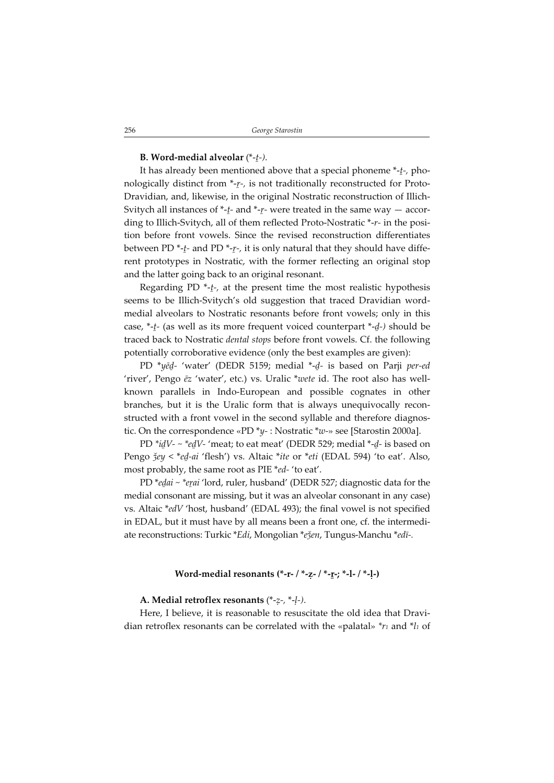## B. Word-medial alveolar  $(*-t-)$ .

It has already been mentioned above that a special phoneme  $*_{-t}$ , phonologically distinct from \*-*r*-, is not traditionally reconstructed for Proto-Dravidian, and, likewise, in the original Nostratic reconstruction of Illich-Svitych all instances of  $*_{-t}$ - and  $*_{-t}$ - were treated in the same way  $-$  according to Illich-Svitych, all of them reflected Proto-Nostratic \*-r- in the position before front vowels. Since the revised reconstruction differentiates between PD  $*_{-t}$ - and PD  $*_{-t}$ -, it is only natural that they should have different prototypes in Nostratic, with the former reflecting an original stop and the latter going back to an original resonant.

Regarding PD  $*_{t-1}$ , at the present time the most realistic hypothesis seems to be Illich-Svitych's old suggestion that traced Dravidian wordmedial alveolars to Nostratic resonants before front vowels; only in this case,  $*_{-t}$ - (as well as its more frequent voiced counterpart  $*_{-d}$ -) should be traced back to Nostratic dental stops before front vowels. Cf. the following potentially corroborative evidence (only the best examples are given):

PD \*yēd- 'water' (DEDR 5159; medial \*-d- is based on Parji per-ed 'river', Pengo ēz 'water', etc.) vs. Uralic \*wete id. The root also has wellknown parallels in Indo-European and possible cognates in other branches, but it is the Uralic form that is always unequivocally reconstructed with a front vowel in the second syllable and therefore diagnostic. On the correspondence «PD  $*_y$ -: Nostratic  $*_x$ -» see [Starostin 2000a].

PD \*idV- ~ \*edV- 'meat; to eat meat' (DEDR 529; medial \*-d- is based on Pengo ǯey < \*eḏ-ai 'flesh') vs. Altaic \*ite or \*eti (EDAL 594) 'to eat'. Also, most probably, the same root as PIE \*ed- 'to eat'.

PD \*edai ~ \*erai 'lord, ruler, husband' (DEDR 527; diagnostic data for the medial consonant are missing, but it was an alveolar consonant in any case) vs. Altaic \*edV 'host, husband' (EDAL 493); the final vowel is not specified in EDAL, but it must have by all means been a front one, cf. the intermediate reconstructions: Turkic \*Edi, Mongolian \*eǯen, Tungus-Manchu \*edī.

## Word-medial resonants (\*-r- / \*-z- / \*-r-; \*-l- / \*-l-)

A. Medial retroflex resonants  $(*-z-, *-1-)$ .

Here, I believe, it is reasonable to resuscitate the old idea that Dravidian retroflex resonants can be correlated with the «palatal»  $*_{r_1}$  and  $*_{l_1}$  of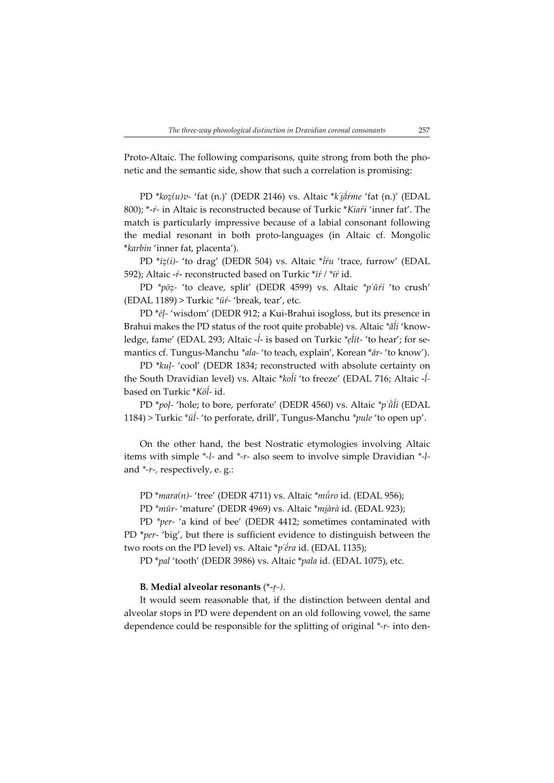Proto-Altaic. The following comparisons, quite strong from both the phonetic and the semantic side, show that such a correlation is promising:

PD \*koz(u)v- 'fat (n.)' (DEDR 2146) vs. Altaic \*k $\tilde{i}$ a *fme* 'fat (n.)' (EDAL 800); \*-*ŕ*- in Altaic is reconstructed because of Turkic \*Kiaŕi 'inner fat'. The match is particularly impressive because of a labial consonant following the medial resonant in both proto-languages (in Altaic cf. Mongolic \*karbin 'inner fat, placenta').

PD  $*īz(i)$ - 'to drag' (DEDR 504) vs. Altaic  $*ifiv$  'trace, furrow' (EDAL 592); Altaic - ŕ - reconstructed based on Turkic \* $\tilde{i}$ r / \* $\tilde{i}$ r id.

PD \*pōz- 'to cleave, split' (DEDR 4599) vs. Altaic \*p' $\tilde{u}$ *iti* 'to crush'  $(EDAL 1189)$  > Turkic \* $ii$ ŕ- 'break, tear', etc.

PD \*ēḷ- 'wisdom' (DEDR 912; a Kui-Brahui isogloss, but its presence in Brahui makes the PD status of the root quite probable) vs. Altaic \*ăĺi 'knowledge, fame' (EDAL 293; Altaic -*l*- is based on Turkic \**elit*- 'to hear'; for semantics cf. Tungus-Manchu \*ala- 'to teach, explain', Korean \*ār- 'to know').

PD \*kul- 'cool' (DEDR 1834; reconstructed with absolute certainty on the South Dravidian level) vs. Altaic \*koli 'to freeze' (EDAL 716; Altaic -lbased on Turkic \*Köĺ- id.

PD \*pol- 'hole; to bore, perforate' (DEDR 4560) vs. Altaic \*p' $\tilde{u}$ li (EDAL 1184) > Turkic \*üĺ- 'to perforate, drill', Tungus-Manchu \*pule 'to open up'.

On the other hand, the best Nostratic etymologies involving Altaic items with simple \*-l- and \*-r- also seem to involve simple Dravidian \*-land  $*$ - $r$ -, respectively, e. g.:

PD \*mara(n)- 'tree' (DEDR 4711) vs. Altaic \*mūro id. (EDAL 956);

PD \*mūr- 'mature' (DEDR 4969) vs. Altaic \*miàrà id. (EDAL 923);

PD \*per- 'a kind of bee' (DEDR 4412; sometimes contaminated with PD *\*per-'big'*, but there is sufficient evidence to distinguish between the two roots on the PD level) vs. Altaic  $\check{p}$ 'ḗra id. (EDAL 1135);

PD \*pal 'tooth' (DEDR 3986) vs. Altaic \*pala id. (EDAL 1075), etc.

B. Medial alveolar resonants  $(*-r-)$ .

It would seem reasonable that, if the distinction between dental and alveolar stops in PD were dependent on an old following vowel, the same dependence could be responsible for the splitting of original  $*_{-r}$  into den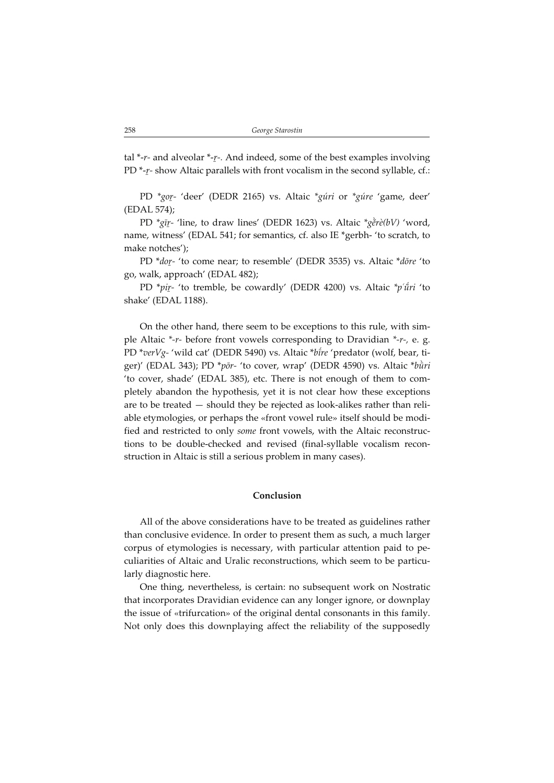tal  $*$ - $r$ - and alveolar  $*$ - $r$ -. And indeed, some of the best examples involving PD  $*$ - $r$ - show Altaic parallels with front vocalism in the second syllable, cf.:

PD \*gor- 'deer' (DEDR 2165) vs. Altaic \*gúri or \*gúre 'game, deer' (EDAL 574);

PD  $*q\bar{i}r$ - 'line, to draw lines' (DEDR 1623) vs. Altaic  $*q\tilde{e}r\tilde{e}(bV)$  'word, name, witness' (EDAL 541; for semantics, cf. also IE \*gerbh- 'to scratch, to make notches');

PD \*dor- 'to come near; to resemble' (DEDR 3535) vs. Altaic \*dōre 'to go, walk, approach' (EDAL 482);

PD \*pir - 'to tremble, be cowardly' (DEDR 4200) vs. Altaic \*p uri 'to shake' (EDAL 1188).

On the other hand, there seem to be exceptions to this rule, with simple Altaic  $*$ - $r$ - before front vowels corresponding to Dravidian  $*$ - $r$ -, e. g. PD \*verVg- 'wild cat' (DEDR 5490) vs. Altaic \*bire 'predator (wolf, bear, tiger)' (EDAL 343); PD \*pōr- 'to cover, wrap' (DEDR 4590) vs. Altaic \*būri 'to cover, shade' (EDAL 385), etc. There is not enough of them to completely abandon the hypothesis, yet it is not clear how these exceptions are to be treated — should they be rejected as look-alikes rather than reliable etymologies, or perhaps the «front vowel rule» itself should be modified and restricted to only some front vowels, with the Altaic reconstructions to be double-checked and revised (final-syllable vocalism reconstruction in Altaic is still a serious problem in many cases).

## Conclusion

All of the above considerations have to be treated as guidelines rather than conclusive evidence. In order to present them as such, a much larger corpus of etymologies is necessary, with particular attention paid to peculiarities of Altaic and Uralic reconstructions, which seem to be particularly diagnostic here.

One thing, nevertheless, is certain: no subsequent work on Nostratic that incorporates Dravidian evidence can any longer ignore, or downplay the issue of «trifurcation» of the original dental consonants in this family. Not only does this downplaying affect the reliability of the supposedly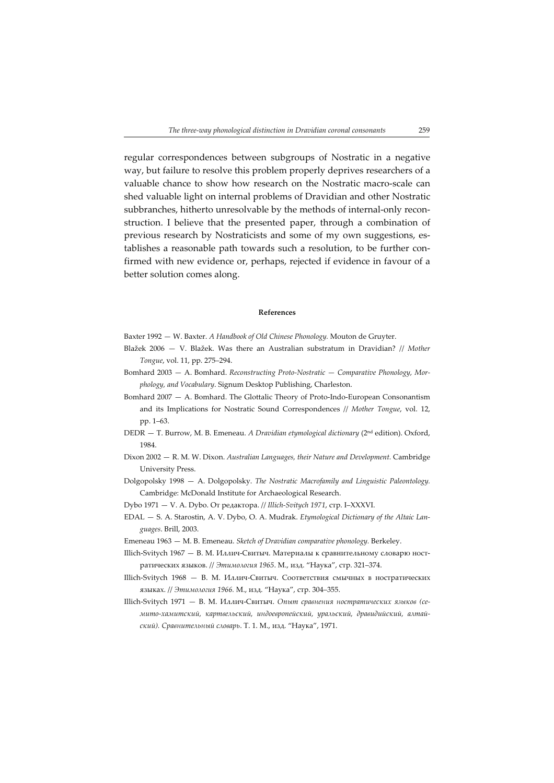regular correspondences between subgroups of Nostratic in a negative way, but failure to resolve this problem properly deprives researchers of a valuable chance to show how research on the Nostratic macro-scale can shed valuable light on internal problems of Dravidian and other Nostratic subbranches, hitherto unresolvable by the methods of internal-only reconstruction. I believe that the presented paper, through a combination of previous research by Nostraticists and some of my own suggestions, establishes a reasonable path towards such a resolution, to be further confirmed with new evidence or, perhaps, rejected if evidence in favour of a better solution comes along.

#### References

Baxter 1992 - W. Baxter. A Handbook of Old Chinese Phonology. Mouton de Gruyter.

- Blažek 2006 V. Blažek. Was there an Australian substratum in Dravidian? // Mother Tongue, vol. 11, pp. 275–294.
- Bomhard 2003 A. Bomhard. Reconstructing Proto-Nostratic Comparative Phonology, Morphology, and Vocabulary. Signum Desktop Publishing, Charleston.
- Bomhard 2007 A. Bomhard. The Glottalic Theory of Proto-Indo-European Consonantism and its Implications for Nostratic Sound Correspondences // Mother Tongue, vol. 12, pp. 1–63.
- DEDR T. Burrow, M. B. Emeneau. A Dravidian etymological dictionary (2nd edition). Oxford, 1984.
- Dixon 2002 R. M. W. Dixon. Australian Languages, their Nature and Development. Cambridge University Press.
- Dolgopolsky 1998 A. Dolgopolsky. The Nostratic Macrofamily and Linguistic Paleontology. Cambridge: McDonald Institute for Archaeological Research.
- Dybo 1971 V. A. Dybo. От редактора. // Illich-Svitych 1971, стр. I–XXXVI.
- EDAL S. A. Starostin, A. V. Dybo, O. A. Mudrak. Etymological Dictionary of the Altaic Languages. Brill, 2003.
- Emeneau 1963 M. B. Emeneau. Sketch of Dravidian comparative phonology. Berkeley.
- Illich-Svitych 1967 В. М. Иллич-Свитыч. Материалы к сравнительному словарю ностратических языков. // Этимология 1965. М., изд. "Наука", стр. 321–374.
- Illich-Svitych 1968 В. М. Иллич-Свитыч. Соответствия смычных в ностратических языках. // Этимология 1966. М., изд. "Наука", стр. 304–355.
- Illich-Svitych 1971 В. М. Иллич-Свитыч. Опыт сравнения ностратических языков (семито-хамитский, картвельский, индоевропейский, уральский, дравидийский, алтайский). Сравнительный словарь. Т. 1. М., изд. "Наука", 1971.